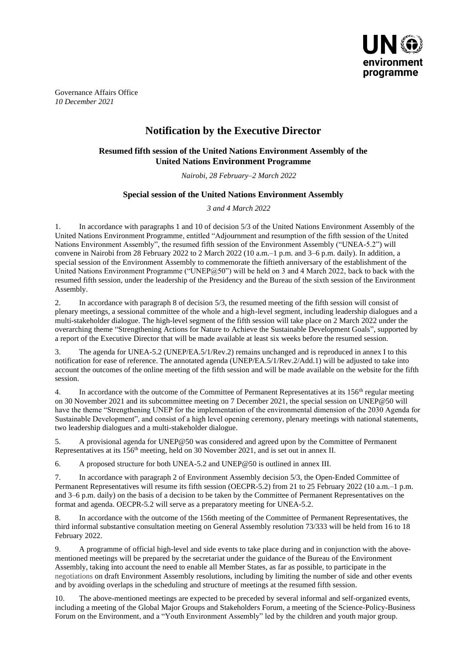

Governance Affairs Office *10 December 2021*

## **Notification by the Executive Director**

### **Resumed fifth session of the United Nations Environment Assembly of the United Nations Environment Programme**

*Nairobi, 28 February–2 March 2022*

### **Special session of the United Nations Environment Assembly**

*3 and 4 March 2022*

1. In accordance with paragraphs 1 and 10 of [decision 5/3](https://wedocs.unep.org/xmlui/bitstream/handle/20.500.11822/36424/English%20%20Decision%205.3.pdf?sequence=1&isAllowed=y) of the United Nations Environment Assembly of the United Nations Environment Programme, entitled "Adjournment and resumption of the fifth session of the United Nations Environment Assembly", the resumed fifth session of the Environment Assembly ("UNEA-5.2") will convene in Nairobi from 28 February 2022 to 2 March 2022 (10 a.m.–1 p.m. and 3–6 p.m. daily). In addition, a special session of the Environment Assembly to commemorate the fiftieth anniversary of the establishment of the United Nations Environment Programme ("UNEP@50") will be held on 3 and 4 March 2022, back to back with the resumed fifth session, under the leadership of the Presidency and the Bureau of the sixth session of the Environment Assembly.

2. In accordance with paragraph 8 of decision 5/3, the resumed meeting of the fifth session will consist of plenary meetings, a sessional committee of the whole and a high-level segment, including leadership dialogues and a multi-stakeholder dialogue. The high-level segment of the fifth session will take place on 2 March 2022 under the overarching theme "Strengthening Actions for Nature to Achieve the Sustainable Development Goals", supported by a report of the Executive Director that will be made available at least six weeks before the resumed session.

3. The agenda for UNEA-5.2 (UNEP/EA.5/1/Rev.2) remains unchanged and is reproduced in annex I to this notification for ease of reference. The annotated agenda (UNEP/EA.5/1/Rev.2/Add.1) will be adjusted to take into account the outcomes [of the online meeting of the fifth session](https://www.unep.org/environmentassembly/outcomes-online-session-unea-5) and will be made available on the [website](https://www.unep.org/environmentassembly/unea5) for the fifth session.

4. In accordance with the outcome of the Committee of Permanent Representatives at its 156<sup>th</sup> regular meeting on 30 November 2021 and its subcommittee meeting on 7 December 2021, the special session on UNEP@50 will have the theme "Strengthening UNEP for the implementation of the environmental dimension of the 2030 Agenda for Sustainable Development", and consist of a high level opening ceremony, plenary meetings with national statements, two leadership dialogues and a multi-stakeholder dialogue.

5. A provisional agenda for UNEP@50 was considered and agreed upon by the Committee of Permanent Representatives at its 156th meeting, held on 30 November 2021, and is set out in annex II*.*

6. A proposed structure for both UNEA-5.2 and UNEP@50 is outlined in annex III.

7. In accordance with paragraph 2 of Environment Assembly decision 5/3, the Open-Ended Committee of Permanent Representatives will resume its fifth session (OECPR-5.2) from 21 to 25 February 2022 (10 a.m.–1 p.m. and 3–6 p.m. daily) on the basis of a decision to be taken by the Committee of Permanent Representatives on the format and agenda. OECPR-5.2 will serve as a preparatory meeting for UNEA-5.2.

8. In accordance with the outcome of the 156th meeting of the Committee of Permanent Representatives, the third informal substantive consultation meeting on [General Assembly](https://www.unep.org/environmentassembly/follow-up-on-ga-res-73-333) resolution 73/333 will be held from 16 to 18 February 2022.

9. A programme of official high-level and side events to take place during and in conjunction with the abovementioned meetings will be prepared by the secretariat under the guidance of the Bureau of the Environment Assembly, taking into account the need to enable all Member States, as far as possible, to participate in the negotiations on draft Environment Assembly resolutions, including by limiting the number of side and other events and by avoiding overlaps in the scheduling and structure of meetings at the resumed fifth session.

10. The above-mentioned meetings are expected to be preceded by several informal and self-organized events, including a meeting of the Global Major Groups and Stakeholders Forum, a meeting of the Science-Policy-Business Forum on the Environment, and a "Youth Environment Assembly" led by the children and youth major group.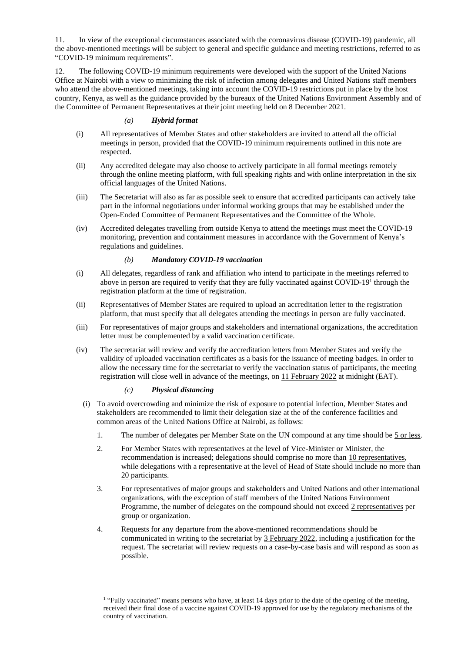11. In view of the exceptional circumstances associated with the coronavirus disease (COVID-19) pandemic, all the above-mentioned meetings will be subject to general and specific guidance and meeting restrictions, referred to as "COVID-19 minimum requirements".

12. The following COVID-19 minimum requirements were developed with the support of the United Nations Office at Nairobi with a view to minimizing the risk of infection among delegates and United Nations staff members who attend the above-mentioned meetings, taking into account the COVID-19 restrictions put in place by the host country, Kenya, as well as the guidance provided by the bureaux of the United Nations Environment Assembly and of the Committee of Permanent Representatives at their joint meeting held on 8 December 2021.

#### *(a) Hybrid format*

- (i) All representatives of Member States and other stakeholders are invited to attend all the official meetings in person, provided that the COVID-19 minimum requirements outlined in this note are respected.
- (ii) Any accredited delegate may also choose to actively participate in all formal meetings remotely through the online meeting platform, with full speaking rights and with online interpretation in the six official languages of the United Nations.
- (iii) The Secretariat will also as far as possible seek to ensure that accredited participants can actively take part in the informal negotiations under informal working groups that may be established under the Open-Ended Committee of Permanent Representatives and the Committee of the Whole.
- (iv) Accredited delegates travelling from outside Kenya to attend the meetings must meet the COVID-19 monitoring, prevention and containment measures in accordance with the Government of Kenya's regulations and guidelines.

### *(b) Mandatory COVID-19 vaccination*

- (i) All delegates, regardless of rank and affiliation who intend to participate in the meetings referred to above in person are required to verify that they are fully vaccinated against COVID-19<sup>1</sup> through the registration platform at the time of registration.
- (ii) Representatives of Member States are required to upload an accreditation letter to the registration platform, that must specify that all delegates attending the meetings in person are fully vaccinated.
- (iii) For representatives of major groups and stakeholders and international organizations, the accreditation letter must be complemented by a valid vaccination certificate.
- (iv) The secretariat will review and verify the accreditation letters from Member States and verify the validity of uploaded vaccination certificates as a basis for the issuance of meeting badges. In order to allow the necessary time for the secretariat to verify the vaccination status of participants, the meeting registration will close well in advance of the meetings, on 11 February 2022 at midnight (EAT).

#### *(c) Physical distancing*

- (i) To avoid overcrowding and minimize the risk of exposure to potential infection, Member States and stakeholders are recommended to limit their delegation size at the of the conference facilities and common areas of the United Nations Office at Nairobi, as follows:
	- 1. The number of delegates per Member State on the UN compound at any time should be 5 or less.
	- 2. For Member States with representatives at the level of Vice-Minister or Minister, the recommendation is increased; delegations should comprise no more than 10 representatives, while delegations with a representative at the level of Head of State should include no more than 20 participants.
	- 3. For representatives of major groups and stakeholders and United Nations and other international organizations, with the exception of staff members of the United Nations Environment Programme, the number of delegates on the compound should not exceed 2 representatives per group or organization.
	- 4. Requests for any departure from the above-mentioned recommendations should be communicated in writing to the secretariat by  $3$  February 2022, including a justification for the request. The secretariat will review requests on a case-by-case basis and will respond as soon as possible.

<sup>&</sup>lt;sup>1</sup> "Fully vaccinated" means persons who have, at least 14 days prior to the date of the opening of the meeting, received their final dose of a vaccine against COVID-19 approved for use by the regulatory mechanisms of the country of vaccination.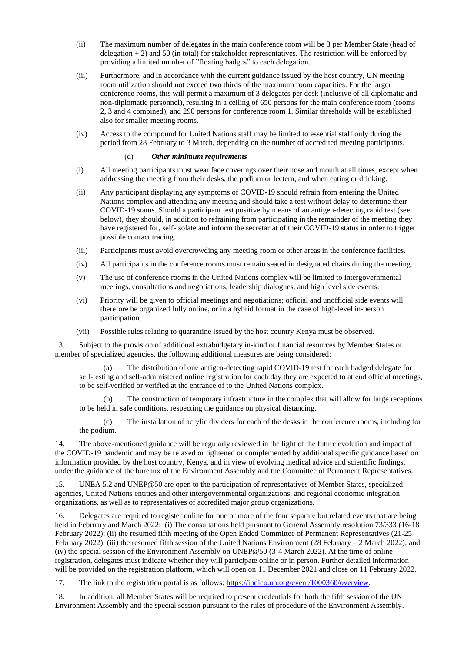- (ii) The maximum number of delegates in the main conference room will be 3 per Member State (head of delegation + 2) and 50 (in total) for stakeholder representatives. The restriction will be enforced by providing a limited number of "floating badges" to each delegation.
- (iii) Furthermore, and in accordance with the current guidance issued by the host country, UN meeting room utilization should not exceed two thirds of the maximum room capacities. For the larger conference rooms, this will permit a maximum of 3 delegates per desk (inclusive of all diplomatic and non-diplomatic personnel), resulting in a ceiling of 650 persons for the main conference room (rooms 2, 3 and 4 combined), and 290 persons for conference room 1. Similar thresholds will be established also for smaller meeting rooms.
- (iv) Access to the compound for United Nations staff may be limited to essential staff only during the period from 28 February to 3 March, depending on the number of accredited meeting participants.

#### (d) *Other minimum requirements*

- (i) All meeting participants must wear face coverings over their nose and mouth at all times, except when addressing the meeting from their desks, the podium or lectern, and when eating or drinking.
- (ii) Any participant displaying any symptoms of COVID-19 should refrain from entering the United Nations complex and attending any meeting and should take a test without delay to determine their COVID-19 status. Should a participant test positive by means of an antigen-detecting rapid test (see below), they should, in addition to refraining from participating in the remainder of the meeting they have registered for, self-isolate and inform the secretariat of their COVID-19 status in order to trigger possible contact tracing.
- (iii) Participants must avoid overcrowding any meeting room or other areas in the conference facilities.
- (iv) All participants in the conference rooms must remain seated in designated chairs during the meeting.
- (v) The use of conference rooms in the United Nations complex will be limited to intergovernmental meetings, consultations and negotiations, leadership dialogues, and high level side events.
- (vi) Priority will be given to official meetings and negotiations; official and unofficial side events will therefore be organized fully online, or in a hybrid format in the case of high-level in-person participation.
- (vii) Possible rules relating to quarantine issued by the host country Kenya must be observed.

13. Subject to the provision of additional extrabudgetary in-kind or financial resources by Member States or member of specialized agencies, the following additional measures are being considered:

(a) The distribution of one antigen-detecting rapid COVID-19 test for each badged delegate for self-testing and self-administered online registration for each day they are expected to attend official meetings, to be self-verified or verified at the entrance of to the United Nations complex.

The construction of temporary infrastructure in the complex that will allow for large receptions to be held in safe conditions, respecting the guidance on physical distancing.

(c) The installation of acrylic dividers for each of the desks in the conference rooms, including for the podium.

14. The above-mentioned guidance will be regularly reviewed in the light of the future evolution and impact of the COVID-19 pandemic and may be relaxed or tightened or complemented by additional specific guidance based on information provided by the host country, Kenya, and in view of evolving medical advice and scientific findings, under the guidance of the bureaux of the Environment Assembly and the Committee of Permanent Representatives.

15. UNEA 5.2 and UNEP@50 are open to the participation of representatives of Member States, specialized agencies, United Nations entities and other intergovernmental organizations, and regional economic integration organizations, as well as to representatives of accredited major group organizations.

16. Delegates are required to register online for one or more of the four separate but related events that are being held in February and March 2022: (i) The consultations held pursuant to General Assembly resolution 73/333 (16-18) February 2022); (ii) the resumed fifth meeting of the Open Ended Committee of Permanent Representatives (21-25 February 2022), (iii) the resumed fifth session of the United Nations Environment (28 February – 2 March 2022); and (iv) the special session of the Environment Assembly on UNEP@50 (3-4 March 2022). At the time of online registration, delegates must indicate whether they will participate online or in person. Further detailed information will be provided on the registration platform, which will open on 11 December 2021 and close on 11 February 2022.

17. The link to the registration portal is as follows: [https://indico.un.org/event/1000360/overview.](https://indico.un.org/event/1000360/overview)

18. In addition, all Member States will be required to present credentials for both the fifth session of the UN Environment Assembly and the special session pursuant to the rules of procedure of the Environment Assembly.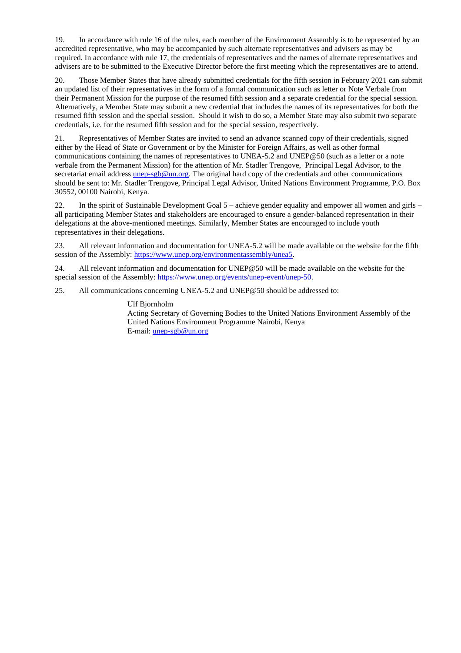19. In accordance with rule 16 of the rules, each member of the Environment Assembly is to be represented by an accredited representative, who may be accompanied by such alternate representatives and advisers as may be required. In accordance with rule 17, the credentials of representatives and the names of alternate representatives and advisers are to be submitted to the Executive Director before the first meeting which the representatives are to attend.

20. Those Member States that have already submitted credentials for the fifth session in February 2021 can submit an updated list of their representatives in the form of a formal communication such as letter or Note Verbale from their Permanent Mission for the purpose of the resumed fifth session and a separate credential for the special session. Alternatively, a Member State may submit a new credential that includes the names of its representatives for both the resumed fifth session and the special session. Should it wish to do so, a Member State may also submit two separate credentials, i.e. for the resumed fifth session and for the special session, respectively.

21. Representatives of Member States are invited to send an advance scanned copy of their credentials, signed either by the Head of State or Government or by the Minister for Foreign Affairs, as well as other formal communications containing the names of representatives to UNEA-5.2 and UNEP@50 (such as a letter or a note verbale from the Permanent Mission) for the attention of Mr. Stadler Trengove, Principal Legal Advisor, to the secretariat email addres[s unep-sgb@un.org.](mailto:unep-sgb@un.org) The original hard copy of the credentials and other communications should be sent to: Mr. Stadler Trengove, Principal Legal Advisor, United Nations Environment Programme, P.O. Box 30552, 00100 Nairobi, Kenya.

22. In the spirit of Sustainable Development Goal 5 – achieve gender equality and empower all women and girls – all participating Member States and stakeholders are encouraged to ensure a gender-balanced representation in their delegations at the above-mentioned meetings. Similarly, Member States are encouraged to include youth representatives in their delegations.

23. All relevant information and documentation for UNEA-5.2 will be made available on the website for the fifth session of the Assembly: [https://www.unep.org/environmentassembly/unea5.](https://www.unep.org/environmentassembly/unea5)

24. All relevant information and documentation for UNEP@50 will be made available on the website for the special session of the Assembly: [https://www.unep.org/events/unep-event/unep-50.](https://www.unep.org/events/unep-event/unep-50)

25. All communications concerning UNEA-5.2 and UNEP@50 should be addressed to:

Ulf Bjornholm Acting Secretary of Governing Bodies to the United Nations Environment Assembly of the United Nations Environment Programme Nairobi, Kenya E-mail: [unep-sgb@un.org](mailto:unep-sgb@un.org)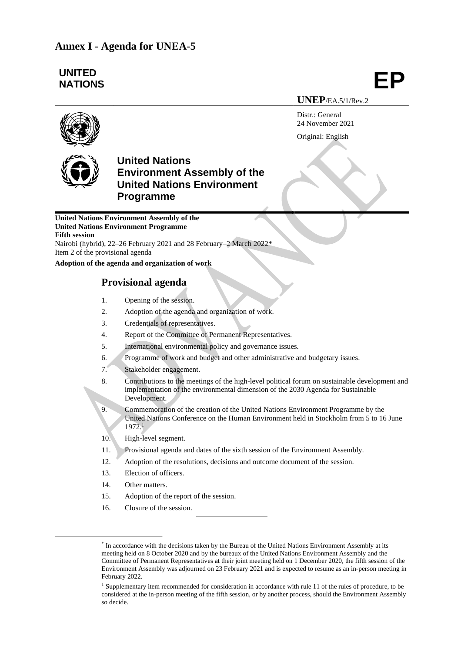## **Annex I - Agenda for UNEA-5**

### **UNITED NATIONS EP**

**UNEP**/EA.5/1/Rev.2

Distr.: General 24 November 2021 Original: English



## **United Nations Environment Assembly of the United Nations Environment Programme**

**United Nations Environment Assembly of the United Nations Environment Programme Fifth session**

Nairobi (hybrid), 22–26 February 2021 and 28 February–2 March 2022\* Item 2 of the provisional agenda

**Adoption of the agenda and organization of work**

### **Provisional agenda**

- 1. Opening of the session.
- 2. Adoption of the agenda and organization of work.
- 3. Credentials of representatives.
- 4. Report of the Committee of Permanent Representatives.
- 5. International environmental policy and governance issues.
- 6. Programme of work and budget and other administrative and budgetary issues.
- 7. Stakeholder engagement.
- 8. Contributions to the meetings of the high-level political forum on sustainable development and implementation of the environmental dimension of the 2030 Agenda for Sustainable Development.
- 9. Commemoration of the creation of the United Nations Environment Programme by the United Nations Conference on the Human Environment held in Stockholm from 5 to 16 June 1972.<sup>1</sup>
- 10. High-level segment.
- 11. Provisional agenda and dates of the sixth session of the Environment Assembly.
- 12. Adoption of the resolutions, decisions and outcome document of the session.
- 13. Election of officers.
- 14. Other matters.
- 15. Adoption of the repor<sup>t</sup> of the session.
- 16. Closure of the session.

<sup>\*</sup> In accordance with the decisions taken by the Bureau of the United Nations Environment Assembly at its meeting held on 8 October 2020 and by the bureaux of the United Nations Environment Assembly and the Committee of Permanent Representatives at their joint meeting held on 1 December 2020, the fifth session of the Environment Assembly was adjourned on 23 February 2021 and is expected to resume as an in-person meeting in February 2022.

<sup>&</sup>lt;sup>1</sup> Supplementary item recommended for consideration in accordance with rule 11 of the rules of procedure, to be considered at the in-person meeting of the fifth session, or by another process, should the Environment Assembly so decide.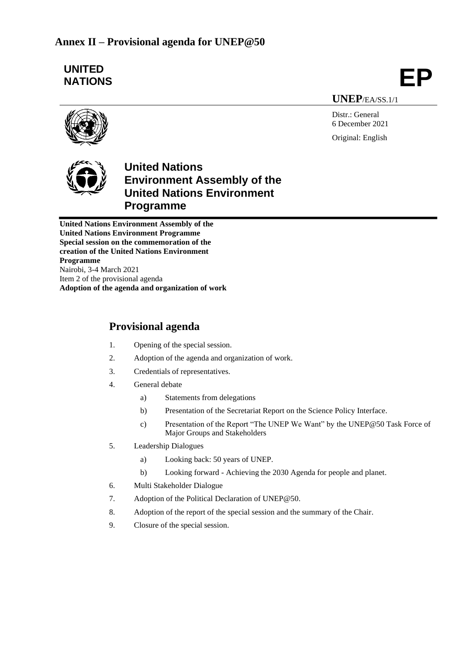## **Annex II – Provisional agenda for UNEP@50**

# **UNITED NATIONS**

**EP**

**UNEP**/EA/SS.1/1

Distr.: General 6 December 2021 Original: English



# **United Nations Environment Assembly of the United Nations Environment Programme**

**United Nations Environment Assembly of the United Nations Environment Programme Special session on the commemoration of the creation of the United Nations Environment Programme** Nairobi, 3-4 March 2021 Item 2 of the provisional agenda **Adoption of the agenda and organization of work**

# **Provisional agenda**

- 1. Opening of the special session.
- 2. Adoption of the agenda and organization of work.
- 3. Credentials of representatives.
- 4. General debate
	- a) Statements from delegations
	- b) Presentation of the Secretariat Report on the Science Policy Interface.
	- c) Presentation of the Report "The UNEP We Want" by the UNEP@50 Task Force of Major Groups and Stakeholders
- 5. Leadership Dialogues
	- a) Looking back: 50 years of UNEP.
	- b) Looking forward Achieving the 2030 Agenda for people and planet.
- 6. Multi Stakeholder Dialogue
- 7. Adoption of the Political Declaration of UNEP@50.
- 8. Adoption of the report of the special session and the summary of the Chair.
- 9. Closure of the special session.